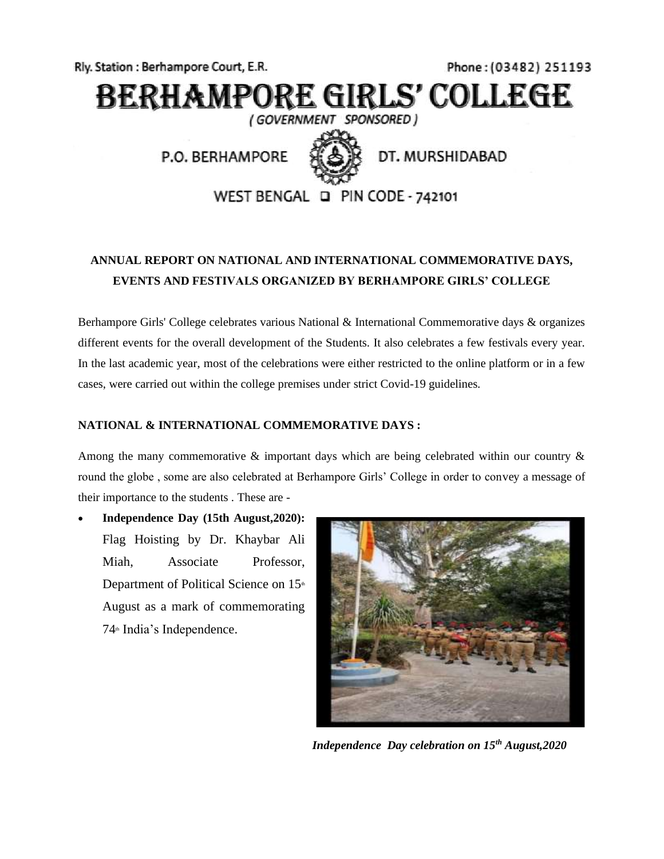Rly. Station: Berhampore Court, E.R.

Phone: (03482) 251193

# **BERHAMPORE GIRLS' COLLEGE**

(GOVERNMENT SPONSORED)

P.O. BERHAMPORE



DT. MURSHIDABAD

WEST BENGAL Q PIN CODE - 742101

# **ANNUAL REPORT ON NATIONAL AND INTERNATIONAL COMMEMORATIVE DAYS, EVENTS AND FESTIVALS ORGANIZED BY BERHAMPORE GIRLS' COLLEGE**

Berhampore Girls' College celebrates various National & International Commemorative days & organizes different events for the overall development of the Students. It also celebrates a few festivals every year. In the last academic year, most of the celebrations were either restricted to the online platform or in a few cases, were carried out within the college premises under strict Covid-19 guidelines.

## **NATIONAL & INTERNATIONAL COMMEMORATIVE DAYS :**

Among the many commemorative  $\&$  important days which are being celebrated within our country  $\&$ round the globe , some are also celebrated at Berhampore Girls' College in order to convey a message of their importance to the students . These are -

• **Independence Day (15th August,2020):**  Flag Hoisting by Dr. Khaybar Ali Miah, Associate Professor, Department of Political Science on 15<sup>th</sup> August as a mark of commemorating  $74<sup>th</sup>$  India's Independence.



*Independence Day celebration on 15th August,2020*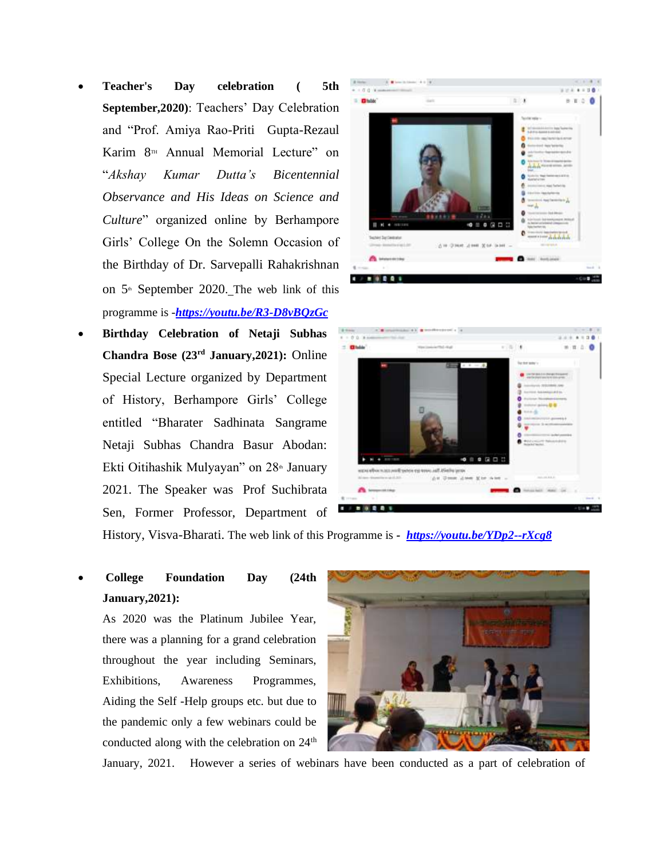- **Teacher's Day celebration ( 5th September,2020)**: Teachers' Day Celebration and "Prof. Amiya Rao-Priti Gupta-Rezaul Karim  $8<sup>m</sup>$  Annual Memorial Lecture" on "*Akshay Kumar Dutta's Bicentennial Observance and His Ideas on Science and Culture*" organized online by Berhampore Girls' College On the Solemn Occasion of the Birthday of Dr. Sarvepalli Rahakrishnan on  $5<sup>th</sup>$  September 2020. The web link of this programme is -*<https://youtu.be/R3-D8vBQzGc>*
- **Birthday Celebration of Netaji Subhas Chandra Bose (23rd January,2021):** Online Special Lecture organized by Department of History, Berhampore Girls' College entitled "Bharater Sadhinata Sangrame Netaji Subhas Chandra Basur Abodan: Ekti Oitihashik Mulyayan" on 28<sup>th</sup> January 2021. The Speaker was Prof Suchibrata Sen, Former Professor, Department of





History, Visva-Bharati. The web link of this Programme is *-<https://youtu.be/YDp2--rXcg8>*

• **College Foundation Day (24th January,2021):**

As 2020 was the Platinum Jubilee Year, there was a planning for a grand celebration throughout the year including Seminars, Exhibitions, Awareness Programmes, Aiding the Self -Help groups etc. but due to the pandemic only a few webinars could be conducted along with the celebration on  $24<sup>th</sup>$ 



January, 2021. However a series of webinars have been conducted as a part of celebration of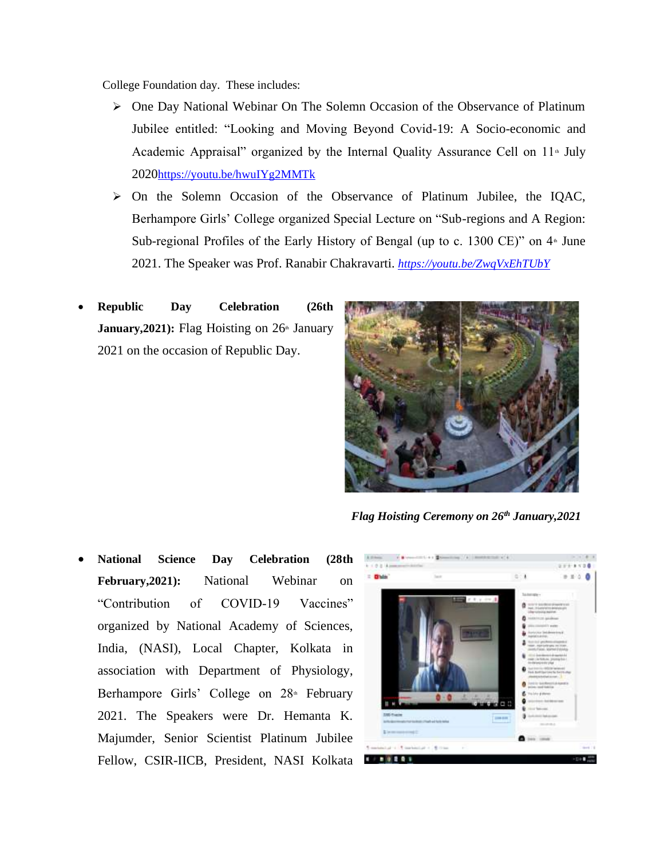College Foundation day. These includes:

- ➢ One Day National Webinar On The Solemn Occasion of the Observance of Platinum Jubilee entitled: "Looking and Moving Beyond Covid-19: A Socio-economic and Academic Appraisal" organized by the Internal Quality Assurance Cell on  $11^{\circ}$  July 2020<https://youtu.be/hwuIYg2MMTk>
- ➢ On the Solemn Occasion of the Observance of Platinum Jubilee, the IQAC, Berhampore Girls' College organized Special Lecture on "Sub-regions and A Region: Sub-regional Profiles of the Early History of Bengal (up to c. 1300 CE)" on  $4<sup>th</sup>$  June 2021. The Speaker was Prof. Ranabir Chakravarti. *<https://youtu.be/ZwqVxEhTUbY>*
- **Republic Day Celebration (26th January, 2021):** Flag Hoisting on 26<sup>th</sup> January 2021 on the occasion of Republic Day.



*Flag Hoisting Ceremony on 26th January,2021*

• **National Science Day Celebration (28th February,2021):** National Webinar on "Contribution of COVID-19 Vaccines" organized by National Academy of Sciences, India, (NASI), Local Chapter, Kolkata in association with Department of Physiology, Berhampore Girls' College on 28<sup>th</sup> February 2021. The Speakers were Dr. Hemanta K. Majumder, Senior Scientist Platinum Jubilee Fellow, CSIR-IICB, President, NASI Kolkata

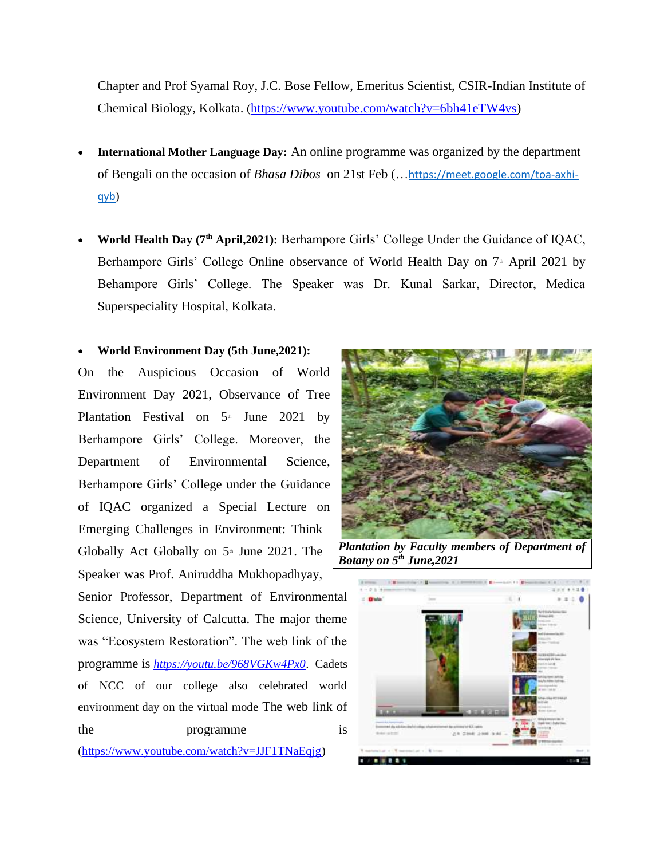Chapter and Prof Syamal Roy, J.C. Bose Fellow, Emeritus Scientist, CSIR-Indian Institute of Chemical Biology, Kolkata. ([https://www.youtube.com/watch?v=6bh41eTW4vs\)](https://www.youtube.com/watch?v=6bh41eTW4vs)

- **International Mother Language Day:** An online programme was organized by the department of Bengali on the occasion of *Bhasa Dibos* on 21st Feb (…[https://meet.google.com/toa-axhi](https://meet.google.com/toa-axhi-qyb)[qyb](https://meet.google.com/toa-axhi-qyb))
- World Health Day (7<sup>th</sup> April,2021): Berhampore Girls' College Under the Guidance of IQAC, Berhampore Girls' College Online observance of World Health Day on 7<sup>th</sup> April 2021 by Behampore Girls' College. The Speaker was Dr. Kunal Sarkar, Director, Medica Superspeciality Hospital, Kolkata.

## • **World Environment Day (5th June,2021):**

On the Auspicious Occasion of World Environment Day 2021, Observance of Tree Plantation Festival on  $5<sup>th</sup>$  June 2021 by Berhampore Girls' College. Moreover, the Department of Environmental Science, Berhampore Girls' College under the Guidance of IQAC organized a Special Lecture on Emerging Challenges in Environment: Think Globally Act Globally on  $5<sup>th</sup>$  June 2021. The Speaker was Prof. Aniruddha Mukhopadhyay,

Senior Professor, Department of Environmental Science, University of Calcutta. The major theme was "Ecosystem Restoration". The web link of the programme is *<https://youtu.be/968VGKw4Px0>*. Cadets of NCC of our college also celebrated world environment day on the virtual mode The web link of the programme is

[\(https://www.youtube.com/watch?v=JJF1TNaEqjg\)](https://www.youtube.com/watch?v=JJF1TNaEqjg)



*Plantation by Faculty members of Department of Botany on 5th June,2021*

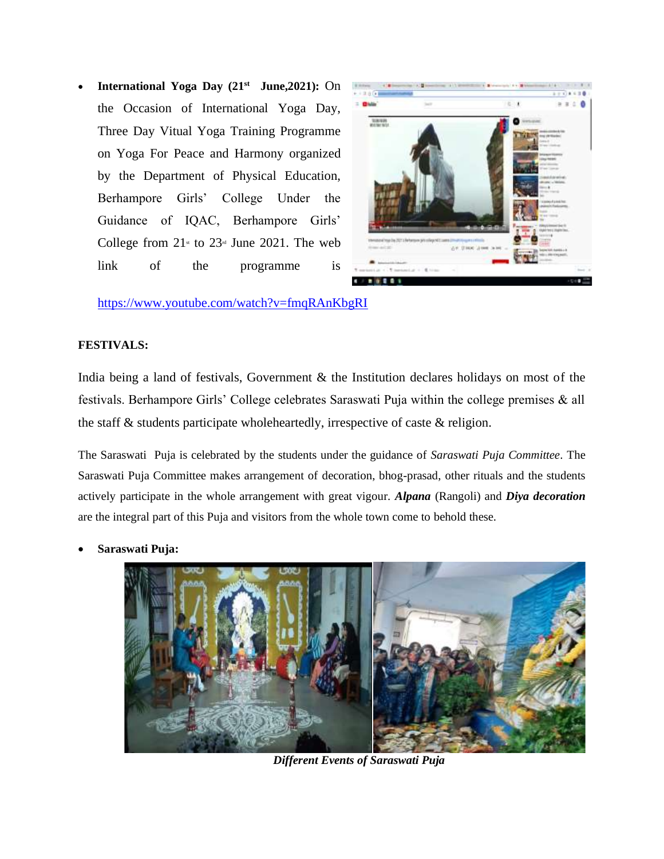• **International Yoga Day (21st June,2021):** On the Occasion of International Yoga Day, Three Day Vitual Yoga Training Programme on Yoga For Peace and Harmony organized by the Department of Physical Education, Berhampore Girls' College Under the Guidance of IQAC, Berhampore Girls' College from  $21<sup>st</sup>$  to  $23<sup>st</sup>$  June 2021. The web link of the programme is



<https://www.youtube.com/watch?v=fmqRAnKbgRI>

#### **FESTIVALS:**

India being a land of festivals, Government & the Institution declares holidays on most of the festivals. Berhampore Girls' College celebrates Saraswati Puja within the college premises & all the staff & students participate wholeheartedly, irrespective of caste & religion.

The Saraswati Puja is celebrated by the students under the guidance of *Saraswati Puja Committee*. The Saraswati Puja Committee makes arrangement of decoration, bhog-prasad, other rituals and the students actively participate in the whole arrangement with great vigour. *Alpana* (Rangoli) and *Diya decoration* are the integral part of this Puja and visitors from the whole town come to behold these.

• **Saraswati Puja:**



*Different Events of Saraswati Puja*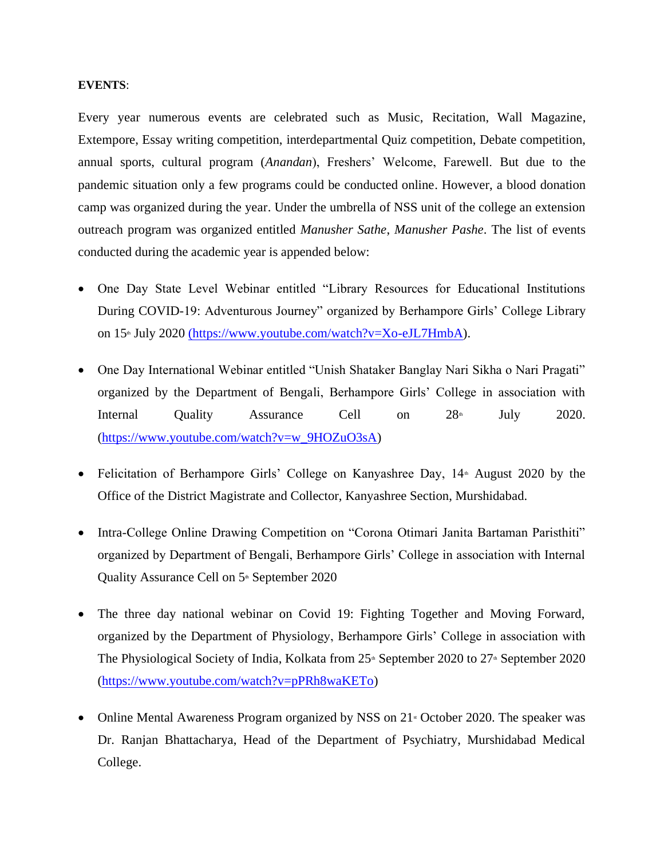#### **EVENTS**:

Every year numerous events are celebrated such as Music, Recitation, Wall Magazine, Extempore, Essay writing competition, interdepartmental Quiz competition, Debate competition, annual sports, cultural program (*Anandan*), Freshers' Welcome, Farewell. But due to the pandemic situation only a few programs could be conducted online. However, a blood donation camp was organized during the year. Under the umbrella of NSS unit of the college an extension outreach program was organized entitled *Manusher Sathe*, *Manusher Pashe*. The list of events conducted during the academic year is appended below:

- One Day State Level Webinar entitled "Library Resources for Educational Institutions During COVID-19: Adventurous Journey" organized by Berhampore Girls' College Library on 15<sup>th</sup> July 2020 [\(https://www.youtube.com/watch?v=Xo-eJL7HmbA\)]((https:/www.youtube.com/watch?v=Xo-eJL7HmbA).
- One Day International Webinar entitled "Unish Shataker Banglay Nari Sikha o Nari Pragati" organized by the Department of Bengali, Berhampore Girls' College in association with Internal Quality Assurance Cell on  $28<sup>th</sup>$  July 2020. [\(https://www.youtube.com/watch?v=w\\_9HOZuO3sA\)](https://www.youtube.com/watch?v=w_9HOZuO3sA)
- Felicitation of Berhampore Girls' College on Kanyashree Day,  $14<sup>*</sup>$  August 2020 by the Office of the District Magistrate and Collector, Kanyashree Section, Murshidabad.
- Intra-College Online Drawing Competition on "Corona Otimari Janita Bartaman Paristhiti" organized by Department of Bengali, Berhampore Girls' College in association with Internal Quality Assurance Cell on 5<sup>th</sup> September 2020
- The three day national webinar on Covid 19: Fighting Together and Moving Forward, organized by the Department of Physiology, Berhampore Girls' College in association with The Physiological Society of India, Kolkata from  $25<sup>th</sup>$  September 2020 to  $27<sup>th</sup>$  September 2020 [\(https://www.youtube.com/watch?v=pPRh8waKETo\)](https://www.youtube.com/watch?v=pPRh8waKETo)
- Online Mental Awareness Program organized by NSS on  $21<sup>*</sup>$  October 2020. The speaker was Dr. Ranjan Bhattacharya, Head of the Department of Psychiatry, Murshidabad Medical College.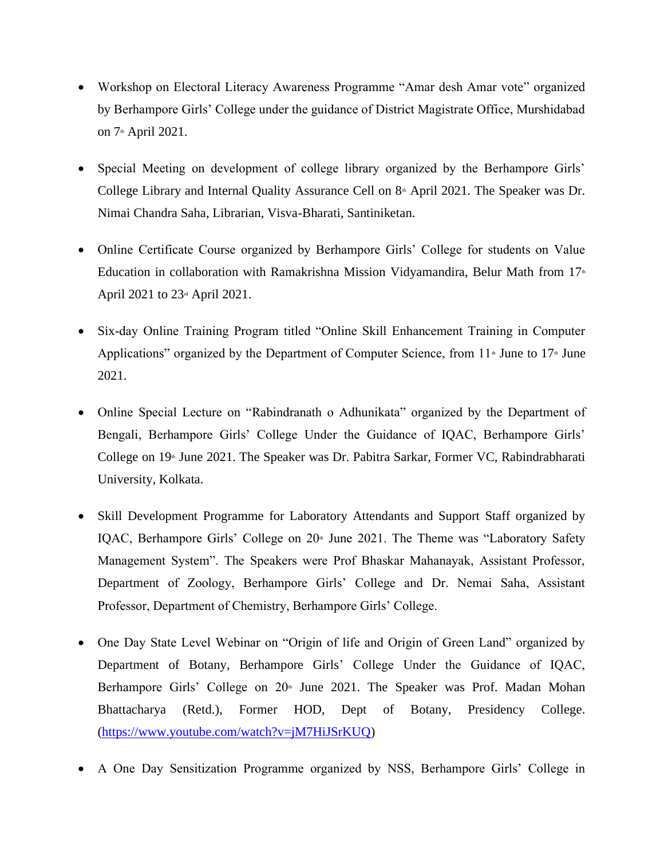- Workshop on Electoral Literacy Awareness Programme "Amar desh Amar vote" organized by Berhampore Girls' College under the guidance of District Magistrate Office, Murshidabad on  $7<sup>th</sup>$  April 2021.
- Special Meeting on development of college library organized by the Berhampore Girls' College Library and Internal Quality Assurance Cell on  $8<sup>th</sup>$  April 2021. The Speaker was Dr. Nimai Chandra Saha, Librarian, Visva-Bharati, Santiniketan.
- Online Certificate Course organized by Berhampore Girls' College for students on Value Education in collaboration with Ramakrishna Mission Vidyamandira, Belur Math from  $17<sup>th</sup>$ April 2021 to  $23<sup>nd</sup>$  April 2021.
- Six-day Online Training Program titled "Online Skill Enhancement Training in Computer Applications" organized by the Department of Computer Science, from  $11$ <sup>th</sup> June to  $17$ <sup>th</sup> June 2021.
- Online Special Lecture on "Rabindranath o Adhunikata" organized by the Department of Bengali, Berhampore Girls' College Under the Guidance of IQAC, Berhampore Girls' College on 19<sup>th</sup> June 2021. The Speaker was Dr. Pabitra Sarkar, Former VC, Rabindrabharati University, Kolkata.
- Skill Development Programme for Laboratory Attendants and Support Staff organized by IQAC, Berhampore Girls' College on 20<sup>th</sup> June 2021. The Theme was "Laboratory Safety Management System". The Speakers were Prof Bhaskar Mahanayak, Assistant Professor, Department of Zoology, Berhampore Girls' College and Dr. Nemai Saha, Assistant Professor, Department of Chemistry, Berhampore Girls' College.
- One Day State Level Webinar on "Origin of life and Origin of Green Land" organized by Department of Botany, Berhampore Girls' College Under the Guidance of IQAC, Berhampore Girls' College on  $20<sup>th</sup>$  June 2021. The Speaker was Prof. Madan Mohan Bhattacharya (Retd.), Former HOD, Dept of Botany, Presidency College. [\(https://www.youtube.com/watch?v=jM7HiJSrKUQ\)](https://www.youtube.com/watch?v=jM7HiJSrKUQ)
- A One Day Sensitization Programme organized by NSS, Berhampore Girls' College in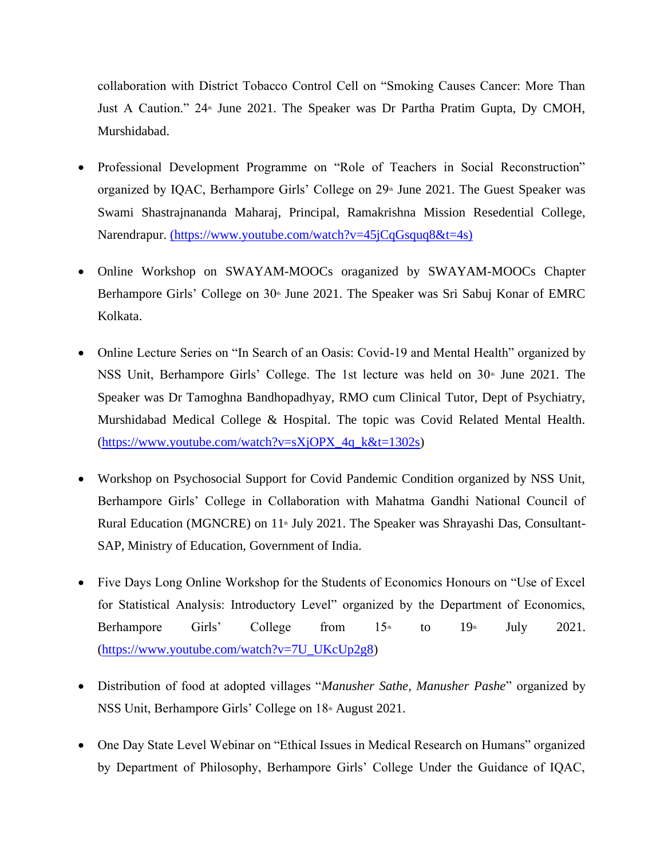collaboration with District Tobacco Control Cell on "Smoking Causes Cancer: More Than Just A Caution." 24<sup>th</sup> June 2021. The Speaker was Dr Partha Pratim Gupta, Dy CMOH, Murshidabad.

- Professional Development Programme on "Role of Teachers in Social Reconstruction" organized by IQAC, Berhampore Girls' College on  $29<sup>th</sup>$  June 2021. The Guest Speaker was Swami Shastrajnananda Maharaj, Principal, Ramakrishna Mission Resedential College, Narendrapur. [\(https://www.youtube.com/watch?v=45jCqGsquq8&t=4s\)]((https:/www.youtube.com/watch?v=45jCqGsquq8&t=4s))
- Online Workshop on SWAYAM-MOOCs oraganized by SWAYAM-MOOCs Chapter Berhampore Girls' College on 30<sup>th</sup> June 2021. The Speaker was Sri Sabuj Konar of EMRC Kolkata.
- Online Lecture Series on "In Search of an Oasis: Covid-19 and Mental Health" organized by NSS Unit, Berhampore Girls' College. The 1st lecture was held on 30<sup>th</sup> June 2021. The Speaker was Dr Tamoghna Bandhopadhyay, RMO cum Clinical Tutor, Dept of Psychiatry, Murshidabad Medical College & Hospital. The topic was Covid Related Mental Health.  $(htips://www.voutube.com/watch?v=sXjOPX<sub>4q</sub> k&t=1302s)$
- Workshop on Psychosocial Support for Covid Pandemic Condition organized by NSS Unit, Berhampore Girls' College in Collaboration with Mahatma Gandhi National Council of Rural Education (MGNCRE) on  $11 \cdot \text{July } 2021$ . The Speaker was Shrayashi Das, Consultant-SAP, Ministry of Education, Government of India.
- Five Days Long Online Workshop for the Students of Economics Honours on "Use of Excel for Statistical Analysis: Introductory Level" organized by the Department of Economics, Berhampore Girls' College from  $15<sup>th</sup>$  to  $19<sup>th</sup>$  July 2021. [\(https://www.youtube.com/watch?v=7U\\_UKcUp2g8\)](https://www.youtube.com/watch?v=7U_UKcUp2g8)
- Distribution of food at adopted villages "*Manusher Sathe, Manusher Pashe*" organized by NSS Unit, Berhampore Girls' College on 18<sup>th</sup> August 2021.
- One Day State Level Webinar on "Ethical Issues in Medical Research on Humans" organized by Department of Philosophy, Berhampore Girls' College Under the Guidance of IQAC,